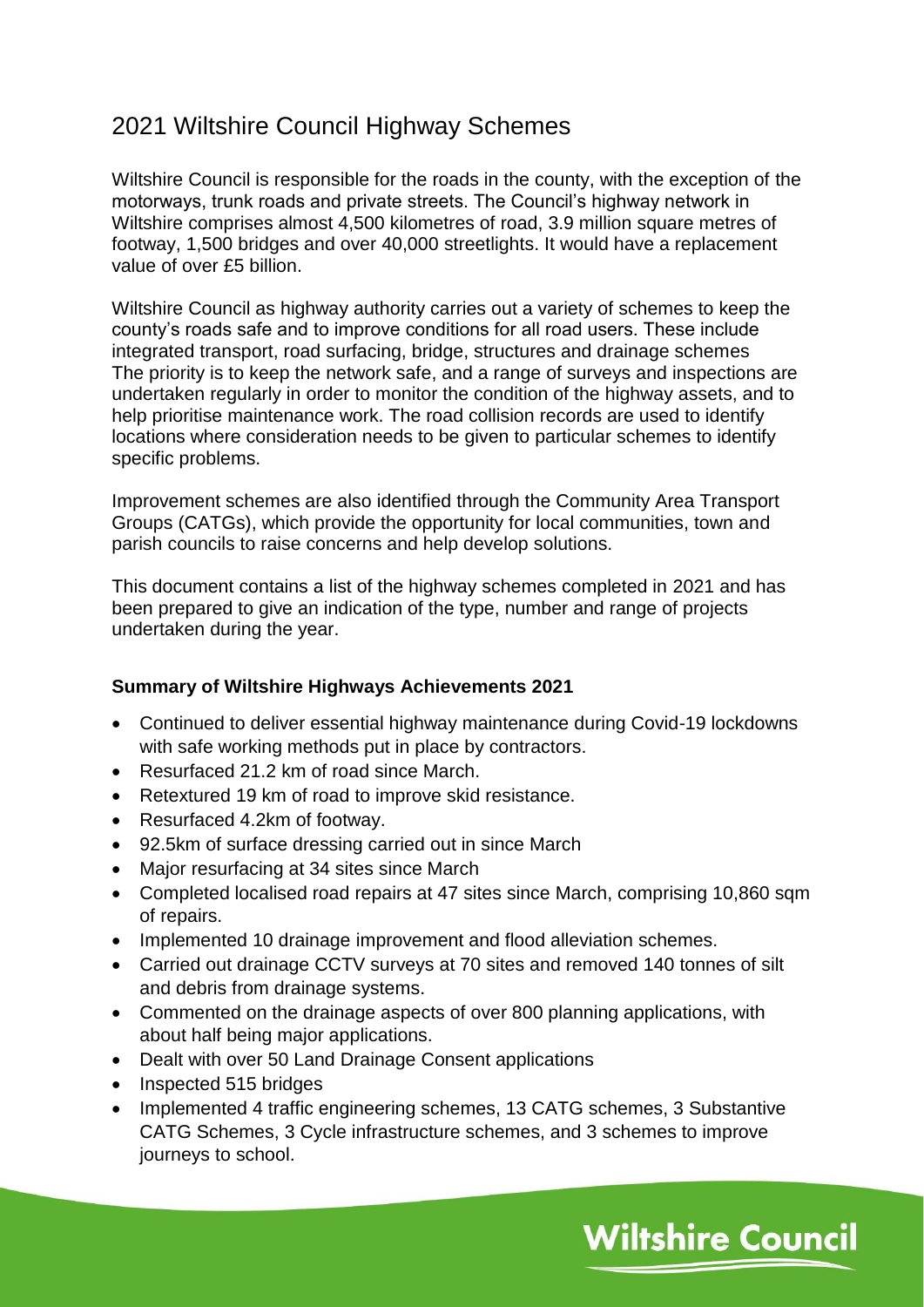## 2021 Wiltshire Council Highway Schemes

Wiltshire Council is responsible for the roads in the county, with the exception of the motorways, trunk roads and private streets. The Council's highway network in Wiltshire comprises almost 4,500 kilometres of road, 3.9 million square metres of footway, 1,500 bridges and over 40,000 streetlights. It would have a replacement value of over £5 billion.

Wiltshire Council as highway authority carries out a variety of schemes to keep the county's roads safe and to improve conditions for all road users. These include integrated transport, road surfacing, bridge, structures and drainage schemes The priority is to keep the network safe, and a range of surveys and inspections are undertaken regularly in order to monitor the condition of the highway assets, and to help prioritise maintenance work. The road collision records are used to identify locations where consideration needs to be given to particular schemes to identify specific problems.

Improvement schemes are also identified through the Community Area Transport Groups (CATGs), which provide the opportunity for local communities, town and parish councils to raise concerns and help develop solutions.

This document contains a list of the highway schemes completed in 2021 and has been prepared to give an indication of the type, number and range of projects undertaken during the year.

#### **Summary of Wiltshire Highways Achievements 2021**

- Continued to deliver essential highway maintenance during Covid-19 lockdowns with safe working methods put in place by contractors.
- Resurfaced 21.2 km of road since March.
- Retextured 19 km of road to improve skid resistance.
- Resurfaced 4.2km of footway.
- 92.5km of surface dressing carried out in since March
- Major resurfacing at 34 sites since March
- Completed localised road repairs at 47 sites since March, comprising 10,860 sqm of repairs.
- Implemented 10 drainage improvement and flood alleviation schemes.
- Carried out drainage CCTV surveys at 70 sites and removed 140 tonnes of silt and debris from drainage systems.
- Commented on the drainage aspects of over 800 planning applications, with about half being major applications.
- Dealt with over 50 Land Drainage Consent applications
- Inspected 515 bridges
- Implemented 4 traffic engineering schemes, 13 CATG schemes, 3 Substantive CATG Schemes, 3 Cycle infrastructure schemes, and 3 schemes to improve journeys to school.

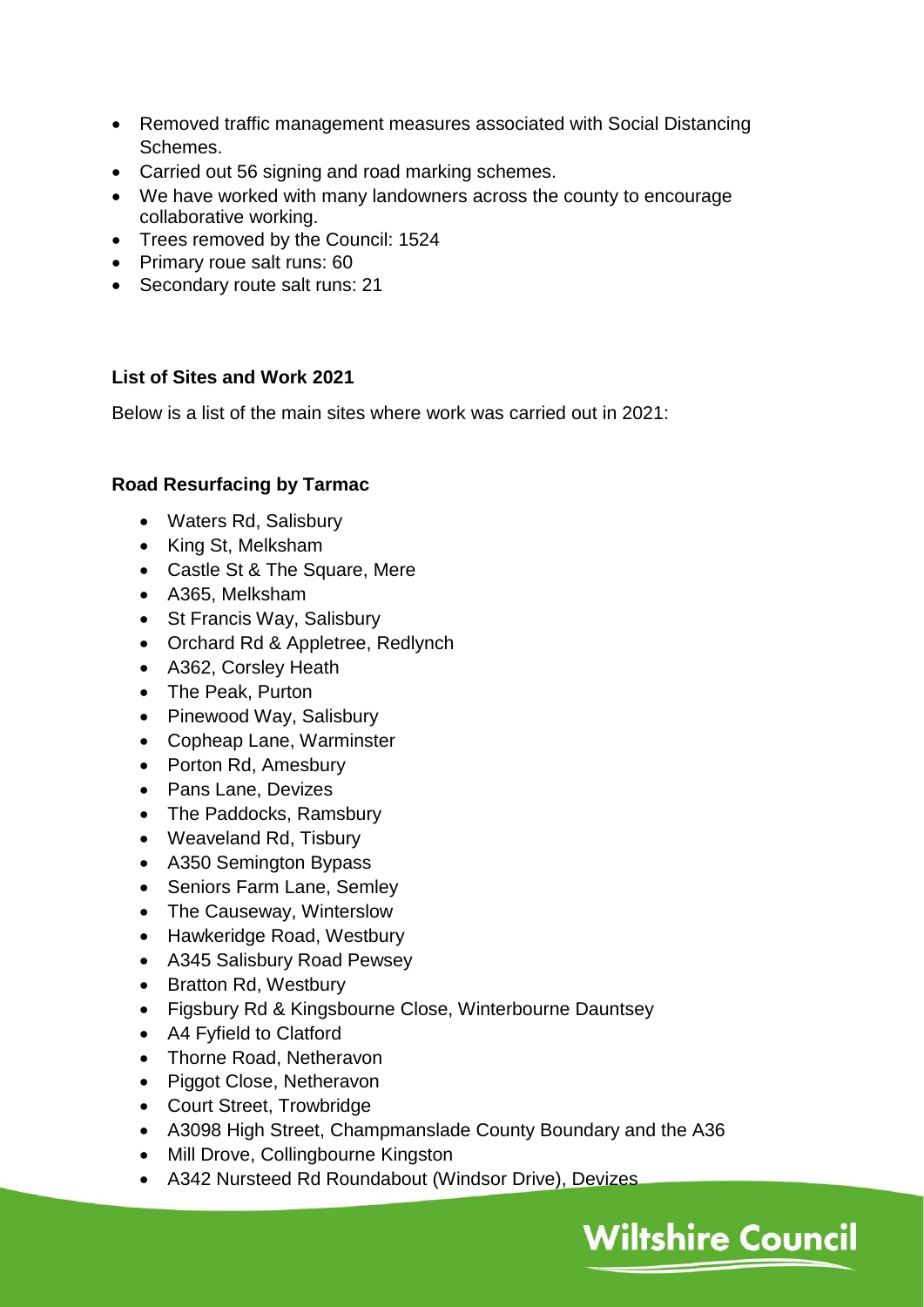- Removed traffic management measures associated with Social Distancing Schemes.
- Carried out 56 signing and road marking schemes.
- We have worked with many landowners across the county to encourage collaborative working.
- Trees removed by the Council: 1524
- Primary roue salt runs: 60
- Secondary route salt runs: 21

### **List of Sites and Work 2021**

Below is a list of the main sites where work was carried out in 2021:

## **Road Resurfacing by Tarmac**

- Waters Rd, Salisbury
- King St, Melksham
- Castle St & The Square, Mere
- A365, Melksham
- St Francis Way, Salisbury
- Orchard Rd & Appletree, Redlynch
- A362, Corsley Heath
- The Peak, Purton
- Pinewood Way, Salisbury
- Copheap Lane, Warminster
- Porton Rd, Amesbury
- Pans Lane, Devizes
- The Paddocks, Ramsbury
- Weaveland Rd, Tisbury
- A350 Semington Bypass
- Seniors Farm Lane, Semley
- The Causeway, Winterslow
- Hawkeridge Road, Westbury
- A345 Salisbury Road Pewsey
- Bratton Rd, Westbury
- Figsbury Rd & Kingsbourne Close, Winterbourne Dauntsey
- A4 Fyfield to Clatford
- Thorne Road, Netheravon
- Piggot Close, Netheravon
- Court Street, Trowbridge
- A3098 High Street, Champmanslade County Boundary and the A36

- Mill Drove, Collingbourne Kingston
- A342 Nursteed Rd Roundabout (Windsor Drive), Devizes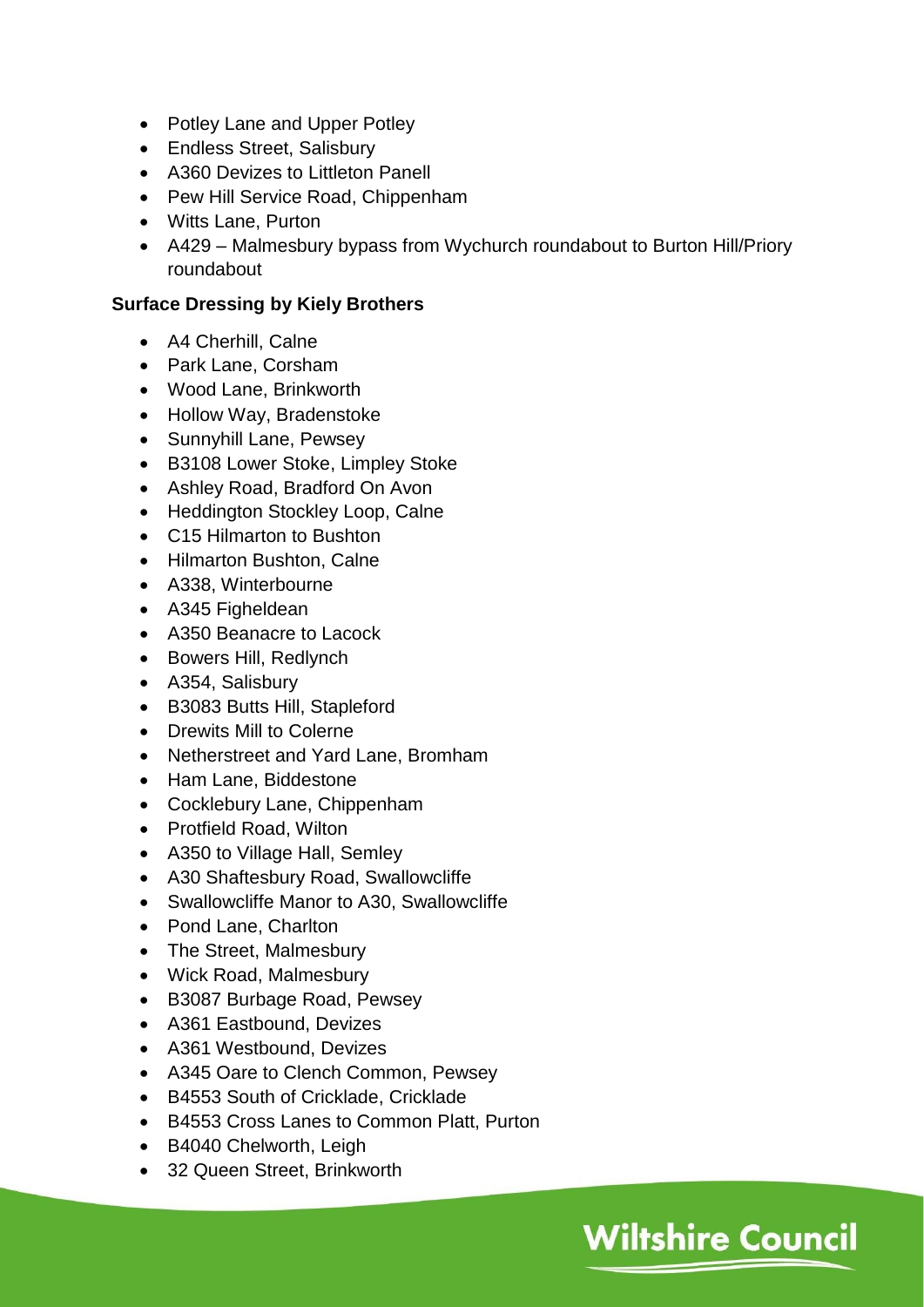- Potley Lane and Upper Potley
- Endless Street, Salisbury
- A360 Devizes to Littleton Panell
- Pew Hill Service Road, Chippenham
- Witts Lane, Purton
- A429 Malmesbury bypass from Wychurch roundabout to Burton Hill/Priory roundabout

## **Surface Dressing by Kiely Brothers**

- A4 Cherhill, Calne
- Park Lane, Corsham
- Wood Lane, Brinkworth
- Hollow Way, Bradenstoke
- Sunnyhill Lane, Pewsey
- B3108 Lower Stoke, Limpley Stoke
- Ashley Road, Bradford On Avon
- Heddington Stockley Loop, Calne
- C15 Hilmarton to Bushton
- Hilmarton Bushton, Calne
- A338, Winterbourne
- A345 Figheldean
- A350 Beanacre to Lacock
- Bowers Hill, Redlynch
- A354, Salisbury
- B3083 Butts Hill, Stapleford
- Drewits Mill to Colerne
- Netherstreet and Yard Lane, Bromham
- Ham Lane, Biddestone
- Cocklebury Lane, Chippenham
- Protfield Road, Wilton
- A350 to Village Hall, Semley
- A30 Shaftesbury Road, Swallowcliffe
- Swallowcliffe Manor to A30, Swallowcliffe
- Pond Lane, Charlton
- The Street, Malmesbury
- Wick Road, Malmesbury
- B3087 Burbage Road, Pewsey
- A361 Eastbound, Devizes
- A361 Westbound, Devizes
- A345 Oare to Clench Common, Pewsey
- B4553 South of Cricklade, Cricklade
- B4553 Cross Lanes to Common Platt, Purton

- B4040 Chelworth, Leigh
- 32 Queen Street, Brinkworth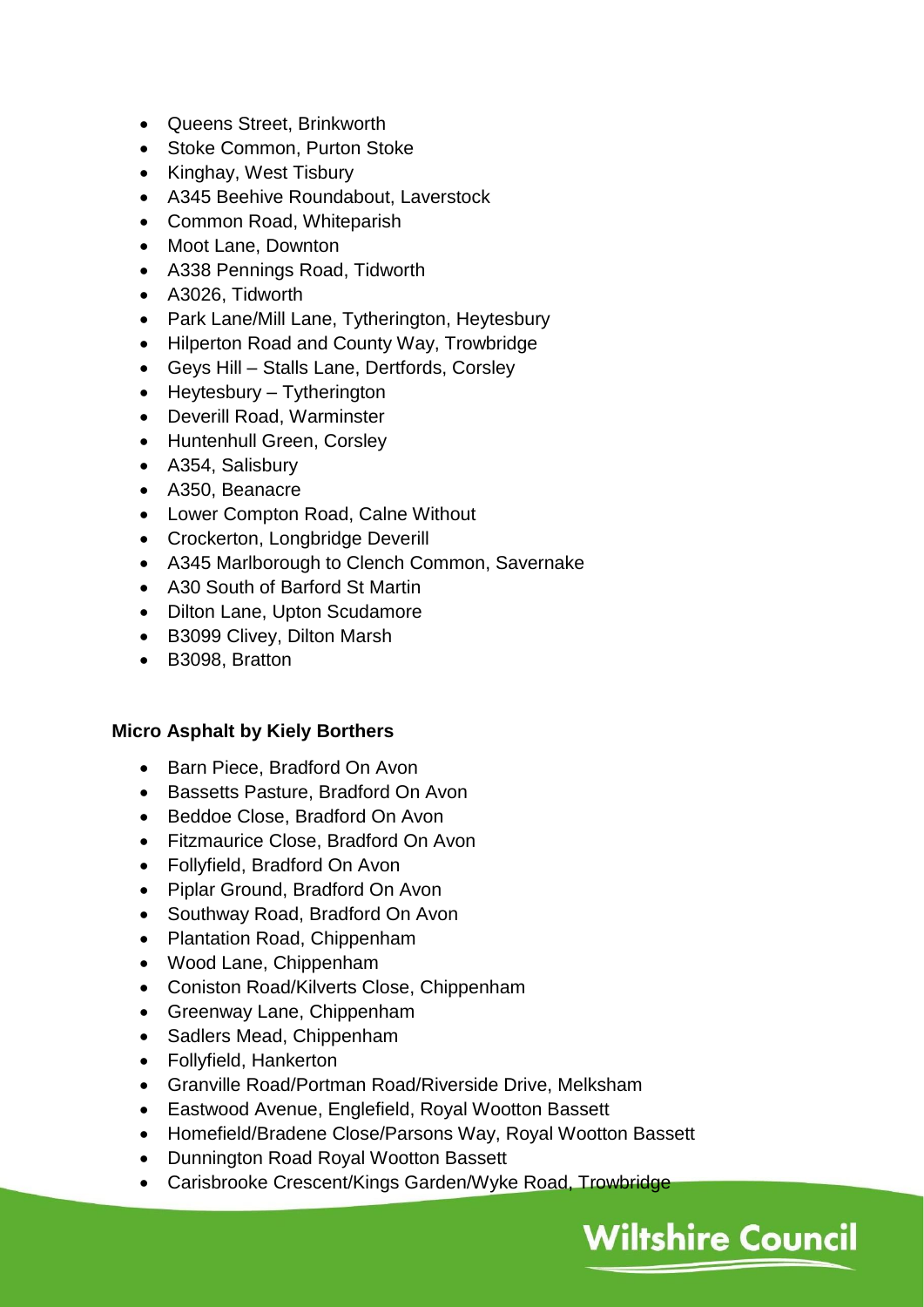- Queens Street, Brinkworth
- Stoke Common, Purton Stoke
- Kinghay, West Tisbury
- A345 Beehive Roundabout, Laverstock
- Common Road, Whiteparish
- Moot Lane, Downton
- A338 Pennings Road, Tidworth
- A3026, Tidworth
- Park Lane/Mill Lane, Tytherington, Heytesbury
- Hilperton Road and County Way, Trowbridge
- Geys Hill Stalls Lane, Dertfords, Corsley
- Heytesbury Tytherington
- Deverill Road, Warminster
- Huntenhull Green, Corsley
- A354, Salisbury
- A350, Beanacre
- Lower Compton Road, Calne Without
- Crockerton, Longbridge Deverill
- A345 Marlborough to Clench Common, Savernake
- A30 South of Barford St Martin
- Dilton Lane, Upton Scudamore
- B3099 Clivey, Dilton Marsh
- B3098, Bratton

#### **Micro Asphalt by Kiely Borthers**

- Barn Piece, Bradford On Avon
- Bassetts Pasture, Bradford On Avon
- Beddoe Close, Bradford On Avon
- Fitzmaurice Close, Bradford On Avon
- Follyfield, Bradford On Avon
- Piplar Ground, Bradford On Avon
- Southway Road, Bradford On Avon
- Plantation Road, Chippenham
- Wood Lane, Chippenham
- Coniston Road/Kilverts Close, Chippenham
- Greenway Lane, Chippenham
- Sadlers Mead, Chippenham
- Follyfield, Hankerton
- Granville Road/Portman Road/Riverside Drive, Melksham
- Eastwood Avenue, Englefield, Royal Wootton Bassett
- Homefield/Bradene Close/Parsons Way, Royal Wootton Bassett
- Dunnington Road Royal Wootton Bassett
- Carisbrooke Crescent/Kings Garden/Wyke Road, Trowbridge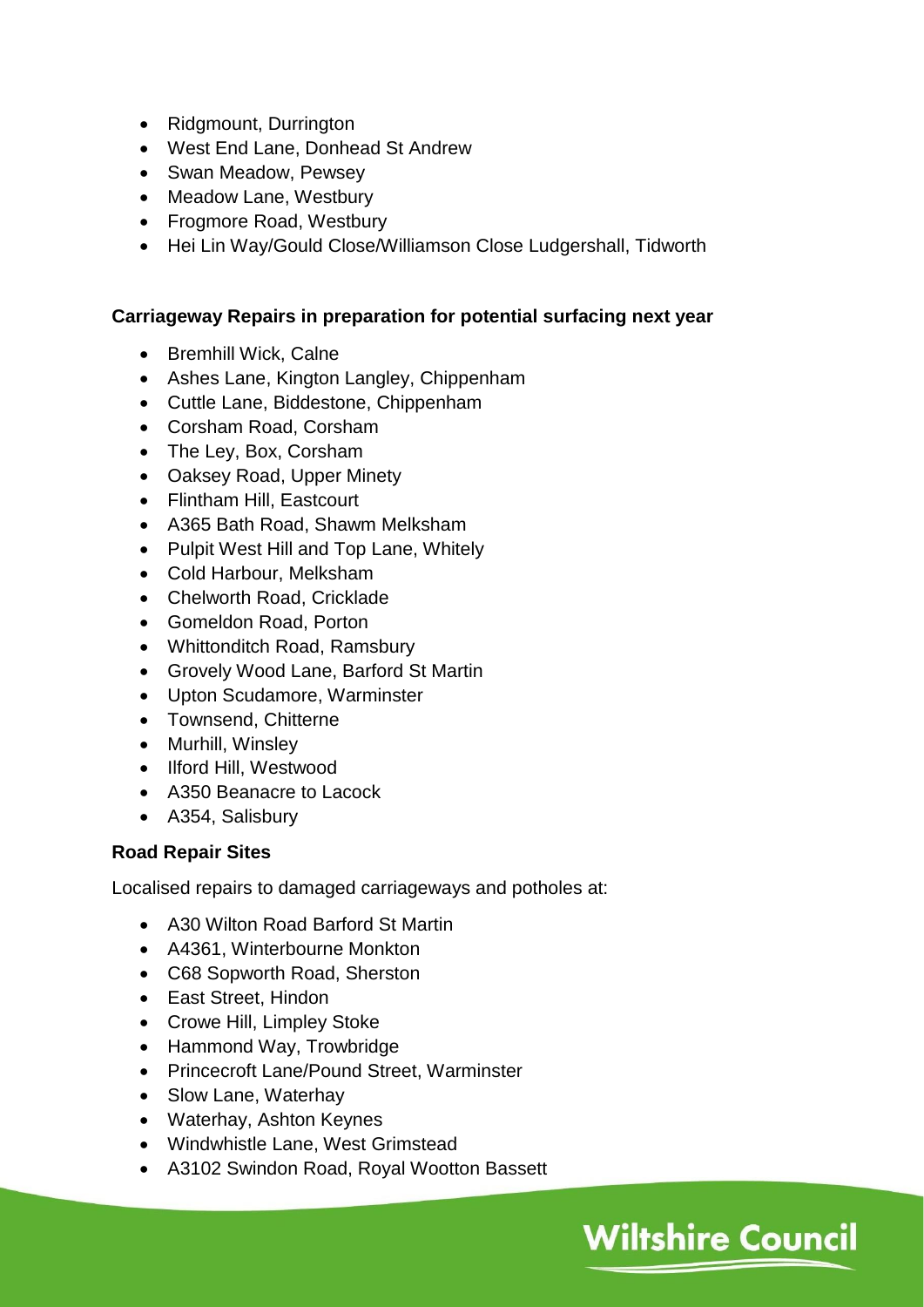- Ridgmount, Durrington
- West End Lane, Donhead St Andrew
- Swan Meadow, Pewsey
- Meadow Lane, Westbury
- Frogmore Road, Westbury
- Hei Lin Way/Gould Close/Williamson Close Ludgershall, Tidworth

#### **Carriageway Repairs in preparation for potential surfacing next year**

- Bremhill Wick, Calne
- Ashes Lane, Kington Langley, Chippenham
- Cuttle Lane, Biddestone, Chippenham
- Corsham Road, Corsham
- The Ley, Box, Corsham
- Oaksey Road, Upper Minety
- Flintham Hill, Eastcourt
- A365 Bath Road, Shawm Melksham
- Pulpit West Hill and Top Lane, Whitely
- Cold Harbour, Melksham
- Chelworth Road, Cricklade
- Gomeldon Road, Porton
- Whittonditch Road, Ramsbury
- Grovely Wood Lane, Barford St Martin
- Upton Scudamore, Warminster
- Townsend, Chitterne
- Murhill, Winsley
- Ilford Hill, Westwood
- A350 Beanacre to Lacock
- A354, Salisbury

#### **Road Repair Sites**

Localised repairs to damaged carriageways and potholes at:

- A30 Wilton Road Barford St Martin
- A4361, Winterbourne Monkton
- C68 Sopworth Road, Sherston
- East Street, Hindon
- Crowe Hill, Limpley Stoke
- Hammond Way, Trowbridge
- Princecroft Lane/Pound Street, Warminster
- Slow Lane, Waterhay
- Waterhay, Ashton Keynes
- Windwhistle Lane, West Grimstead
- A3102 Swindon Road, Royal Wootton Bassett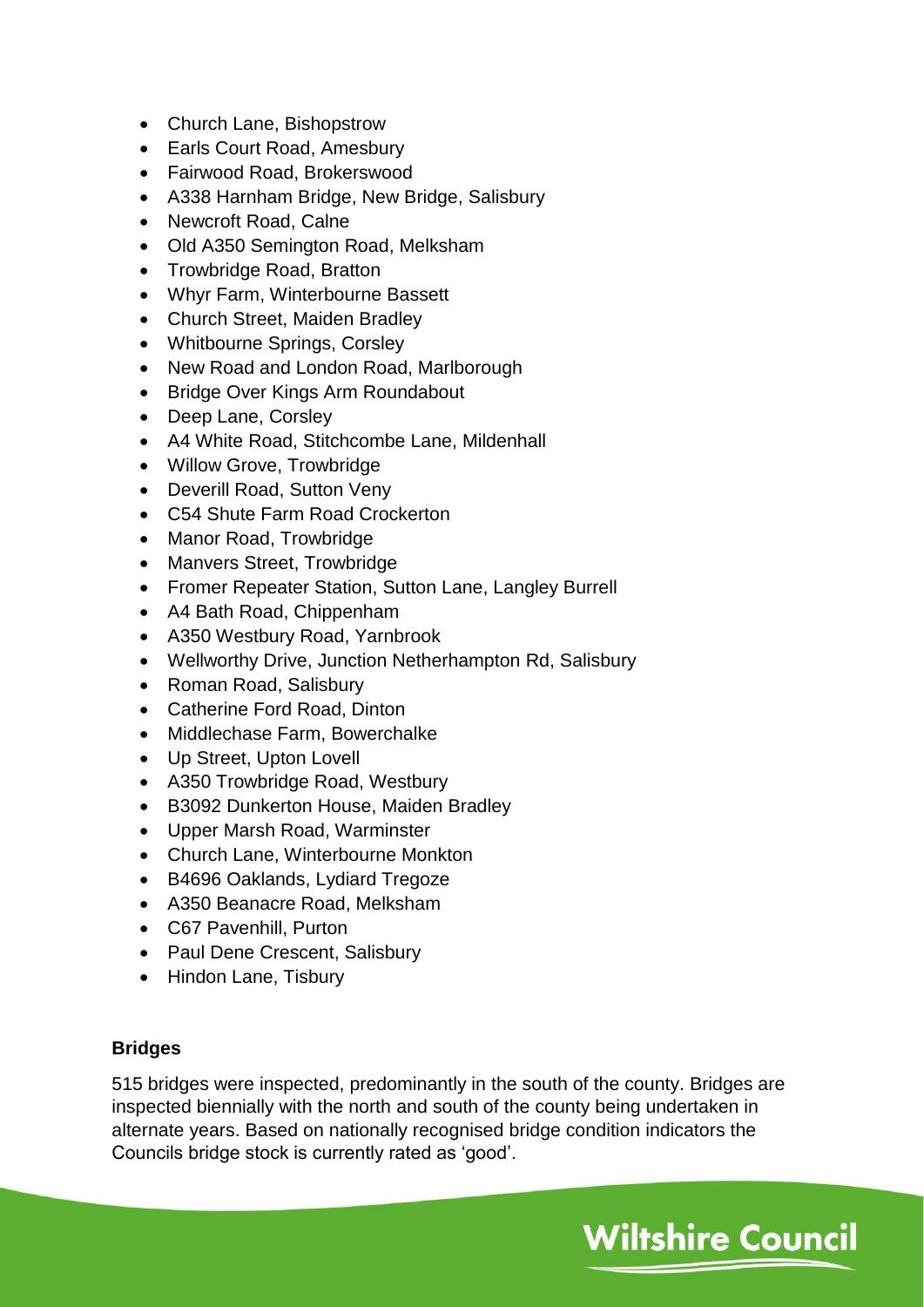- Church Lane, Bishopstrow
- Earls Court Road, Amesbury
- Fairwood Road, Brokerswood
- A338 Harnham Bridge, New Bridge, Salisbury
- Newcroft Road, Calne
- Old A350 Semington Road, Melksham
- Trowbridge Road, Bratton
- Whyr Farm, Winterbourne Bassett
- Church Street, Maiden Bradley
- Whitbourne Springs, Corsley
- New Road and London Road, Marlborough
- Bridge Over Kings Arm Roundabout
- Deep Lane, Corsley
- A4 White Road, Stitchcombe Lane, Mildenhall
- Willow Grove, Trowbridge
- Deverill Road, Sutton Veny
- C54 Shute Farm Road Crockerton
- Manor Road, Trowbridge
- Manvers Street, Trowbridge
- Fromer Repeater Station, Sutton Lane, Langley Burrell
- A4 Bath Road, Chippenham
- A350 Westbury Road, Yarnbrook
- Wellworthy Drive, Junction Netherhampton Rd, Salisbury
- Roman Road, Salisbury
- Catherine Ford Road, Dinton
- Middlechase Farm, Bowerchalke
- Up Street, Upton Lovell
- A350 Trowbridge Road, Westbury
- B3092 Dunkerton House, Maiden Bradley
- Upper Marsh Road, Warminster
- Church Lane, Winterbourne Monkton
- B4696 Oaklands, Lydiard Tregoze
- A350 Beanacre Road, Melksham
- C67 Pavenhill, Purton
- Paul Dene Crescent, Salisbury
- Hindon Lane, Tisbury

## **Bridges**

515 bridges were inspected, predominantly in the south of the county. Bridges are inspected biennially with the north and south of the county being undertaken in alternate years. Based on nationally recognised bridge condition indicators the Councils bridge stock is currently rated as 'good'.

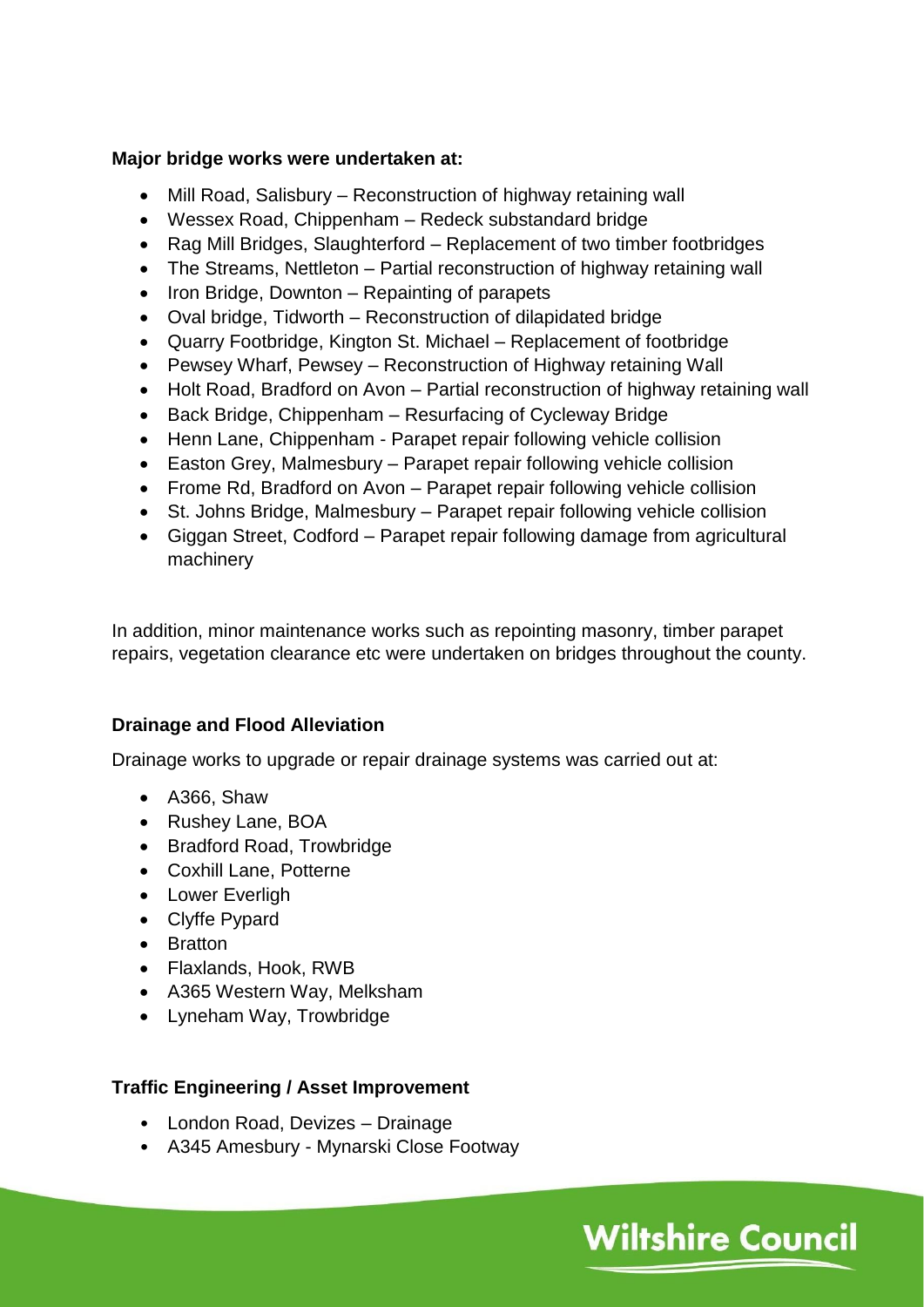### **Major bridge works were undertaken at:**

- Mill Road, Salisbury Reconstruction of highway retaining wall
- Wessex Road, Chippenham Redeck substandard bridge
- Rag Mill Bridges, Slaughterford Replacement of two timber footbridges
- The Streams, Nettleton Partial reconstruction of highway retaining wall
- $\bullet$  Iron Bridge, Downton Repainting of parapets
- Oval bridge, Tidworth Reconstruction of dilapidated bridge
- Quarry Footbridge, Kington St. Michael Replacement of footbridge
- Pewsey Wharf, Pewsey Reconstruction of Highway retaining Wall
- Holt Road, Bradford on Avon Partial reconstruction of highway retaining wall
- Back Bridge, Chippenham Resurfacing of Cycleway Bridge
- Henn Lane, Chippenham Parapet repair following vehicle collision
- Easton Grey, Malmesbury Parapet repair following vehicle collision
- Frome Rd, Bradford on Avon Parapet repair following vehicle collision
- St. Johns Bridge, Malmesbury Parapet repair following vehicle collision
- Giggan Street, Codford Parapet repair following damage from agricultural machinery

In addition, minor maintenance works such as repointing masonry, timber parapet repairs, vegetation clearance etc were undertaken on bridges throughout the county.

**Wiltshire Council** 

## **Drainage and Flood Alleviation**

Drainage works to upgrade or repair drainage systems was carried out at:

- A366, Shaw
- Rushey Lane, BOA
- Bradford Road, Trowbridge
- Coxhill Lane, Potterne
- **•** Lower Everligh
- Clyffe Pypard
- Bratton
- Flaxlands, Hook, RWB
- A365 Western Way, Melksham
- Lyneham Way, Trowbridge

## **Traffic Engineering / Asset Improvement**

- London Road, Devizes Drainage
- A345 Amesbury Mynarski Close Footway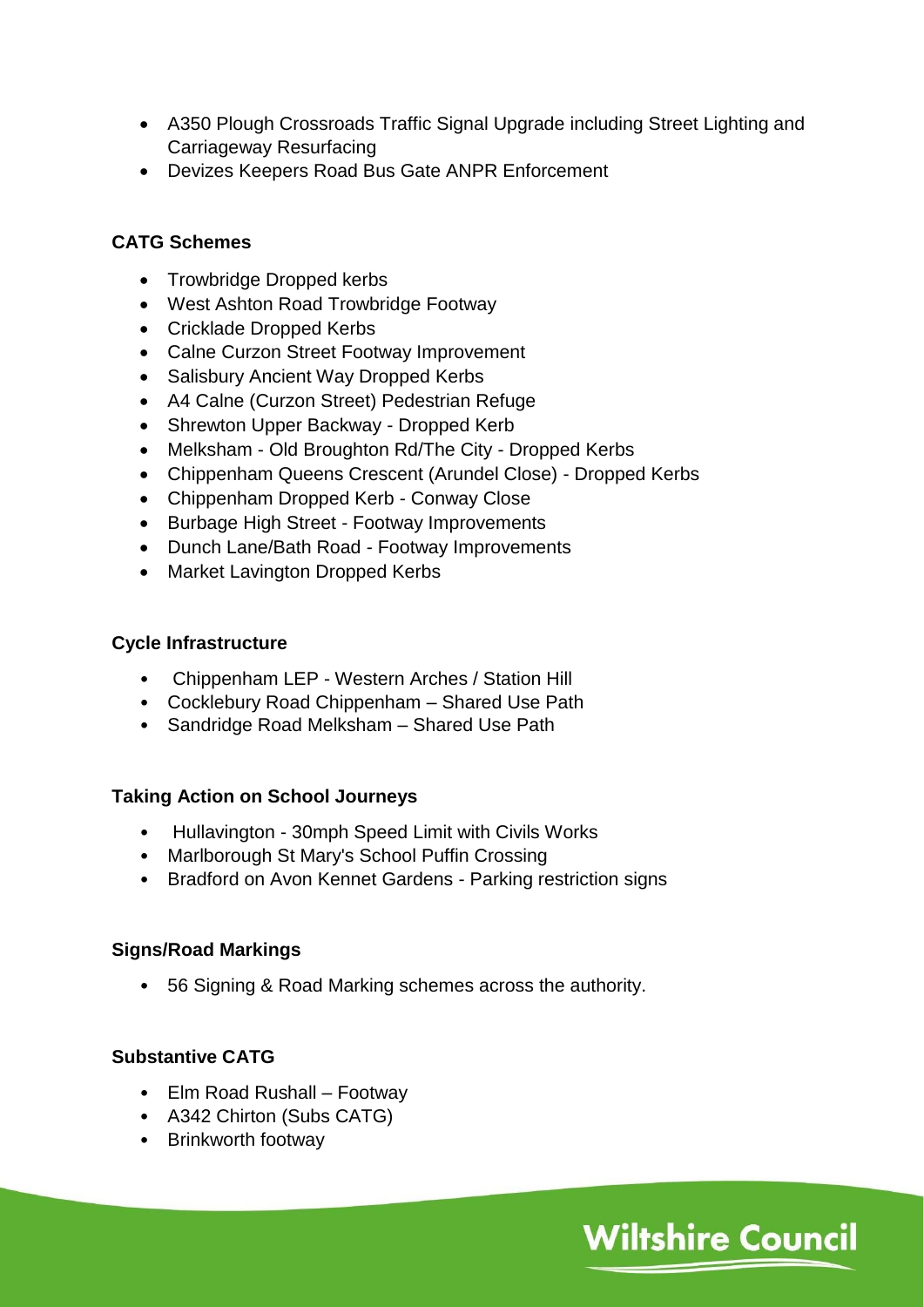- A350 Plough Crossroads Traffic Signal Upgrade including Street Lighting and Carriageway Resurfacing
- Devizes Keepers Road Bus Gate ANPR Enforcement

## **CATG Schemes**

- Trowbridge Dropped kerbs
- West Ashton Road Trowbridge Footway
- Cricklade Dropped Kerbs
- Calne Curzon Street Footway Improvement
- Salisbury Ancient Way Dropped Kerbs
- A4 Calne (Curzon Street) Pedestrian Refuge
- Shrewton Upper Backway Dropped Kerb
- Melksham Old Broughton Rd/The City Dropped Kerbs
- Chippenham Queens Crescent (Arundel Close) Dropped Kerbs
- Chippenham Dropped Kerb Conway Close
- Burbage High Street Footway Improvements
- Dunch Lane/Bath Road Footway Improvements
- Market Lavington Dropped Kerbs

### **Cycle Infrastructure**

- Chippenham LEP Western Arches / Station Hill
- Cocklebury Road Chippenham Shared Use Path
- Sandridge Road Melksham Shared Use Path

## **Taking Action on School Journeys**

- Hullavington 30mph Speed Limit with Civils Works
- Marlborough St Mary's School Puffin Crossing
- Bradford on Avon Kennet Gardens Parking restriction signs

## **Signs/Road Markings**

• 56 Signing & Road Marking schemes across the authority.

## **Substantive CATG**

- Elm Road Rushall Footway
- A342 Chirton (Subs CATG)
- Brinkworth footway